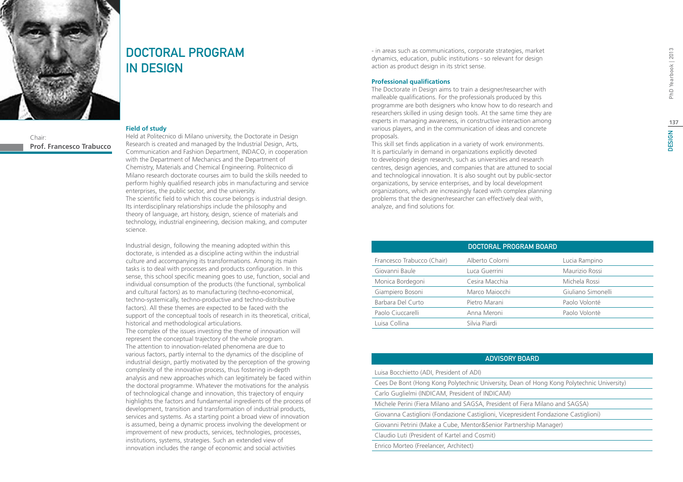# **DESIGN**



**Prof. Francesco Trabucco**

Chair:

## DOCTORAL PROGRAM in Design

### **Field of study**

Held at Politecnico di Milano university, the Doctorate in Design Research is created and managed by the Industrial Design, Arts, Communication and Fashion Department, INDACO, in cooperation with the Department of Mechanics and the Department of Chemistry, Materials and Chemical Engineering. Politecnico di Milano research doctorate courses aim to build the skills needed to perform highly qualified research jobs in manufacturing and service enterprises, the public sector, and the university. The scientific field to which this course belongs is industrial design. Its interdisciplinary relationships include the philosophy and theory of language, art history, design, science of materials and technology, industrial engineering, decision making, and computer science.

Industrial design, following the meaning adopted within this doctorate, is intended as a discipline acting within the industrial culture and accompanying its transformations. Among its main tasks is to deal with processes and products configuration. In this sense, this school specific meaning goes to use, function, social and individual consumption of the products (the functional, symbolical and cultural factors) as to manufacturing (techno-economical, techno-systemically, techno-productive and techno-distributive factors). All these themes are expected to be faced with the support of the conceptual tools of research in its theoretical, critical, historical and methodological articulations.

The complex of the issues investing the theme of innovation will represent the conceptual trajectory of the whole program. The attention to innovation-related phenomena are due to various factors, partly internal to the dynamics of the discipline of industrial design, partly motivated by the perception of the growing complexity of the innovative process, thus fostering in-depth analysis and new approaches which can legitimately be faced within the doctoral programme. Whatever the motivations for the analysis of technological change and innovation, this trajectory of enquiry highlights the factors and fundamental ingredients of the process of development, transition and transformation of industrial products, services and systems. As a starting point a broad view of innovation is assumed, being a dynamic process involving the development or improvement of new products, services, technologies, processes, institutions, systems, strategies. Such an extended view of innovation includes the range of economic and social activities

- in areas such as communications, corporate strategies, market dynamics, education, public institutions - so relevant for design action as product design in its strict sense.

### **Professional qualifications**

The Doctorate in Design aims to train a designer/researcher with malleable qualifications. For the professionals produced by this programme are both designers who know how to do research and researchers skilled in using design tools. At the same time they are experts in managing awareness, in constructive interaction among various players, and in the communication of ideas and concrete proposals.

This skill set finds application in a variety of work environments. It is particularly in demand in organizations explicitly devoted to developing design research, such as universities and research centres, design agencies, and companies that are attuned to social and technological innovation. It is also sought out by public-sector organizations, by service enterprises, and by local development organizations, which are increasingly faced with complex planning problems that the designer/researcher can effectively deal with, analyze, and find solutions for.

|                            | DOCTORAL PROGRAM BOARD |                    |
|----------------------------|------------------------|--------------------|
| Francesco Trabucco (Chair) | Alberto Colorni        | Lucia Rampino      |
| Giovanni Baule             | Luca Guerrini          | Maurizio Rossi     |
| Monica Bordegoni           | Cesira Macchia         | Michela Rossi      |
| Giampiero Bosoni           | Marco Majocchi         | Giuliano Simonelli |
| Barbara Del Curto          | Pietro Marani          | Paolo Volonté      |
| Paolo Ciuccarelli          | Anna Meroni            | Paolo Volontè      |
| Luisa Collina              | Silvia Piardi          |                    |

### Advisory Board

Luisa Bocchietto (ADI, President of ADI)

Cees De Bont (Hong Kong Polytechnic University, Dean of Hong Kong Polytechnic University)

Carlo Guglielmi (INDICAM, President of INDICAM)

Michele Perini (Fiera Milano and SAGSA, President of Fiera Milano and SAGSA)

Giovanna Castiglioni (Fondazione Castiglioni, Vicepresident Fondazione Castiglioni)

Giovanni Petrini (Make a Cube, Mentor&Senior Partnership Manager)

Claudio Luti (President of Kartel and Cosmit)

Enrico Morteo (Freelancer, Architect)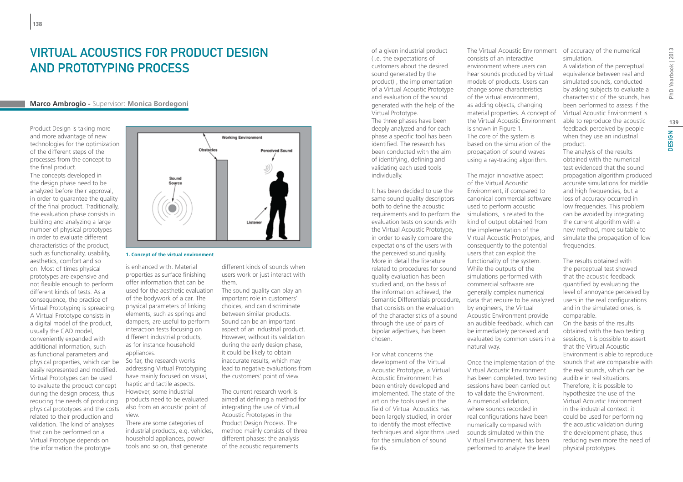### Virtual Acoustics for Product Design and Prototyping Process

### **Marco Ambrogio -** Supervisor: **Monica Bordegoni**

Product Design is taking more and more advantage of new technologies for the optimization of the different steps of the processes from the concept to the final product.

The concepts developed in the design phase need to be analyzed before their approval, in order to quarantee the quality of the final product. Traditionally, the evaluation phase consists in building and analyzing a large number of physical prototypes in order to evaluate different characteristics of the product, such as functionality, usability, aesthetics, comfort and so on. Most of times physical prototypes are expensive and not flexible enough to perform different kinds of tests. As a consequence, the practice of Virtual Prototyping is spreading. A Virtual Prototype consists in a digital model of the product, usually the CAD model, conveniently expanded with additional information, such as functional parameters and physical properties, which can be easily represented and modified. Virtual Prototypes can be used to evaluate the product concept during the design process, thus reducing the needs of producing physical prototypes and the costs related to their production and validation. The kind of analyses that can be performed on a Virtual Prototype depends on the information the prototype



**1. Concept of the virtual environment**

is enhanced with. Material properties as surface finishing offer information that can be used for the aesthetic evaluation of the bodywork of a car. The physical parameters of linking elements, such as springs and dampers, are useful to perform interaction tests focusing on different industrial products, as for instance household appliances.

So far, the research works addressing Virtual Prototyping have mainly focused on visual, haptic and tactile aspects. However, some industrial products need to be evaluated also from an acoustic point of view.

There are some categories of industrial products, e.g. vehicles, household appliances, power tools and so on, that generate

different kinds of sounds when users work or just interact with them.

The sound quality can play an important role in customers' choices, and can discriminate between similar products. Sound can be an important aspect of an industrial product. However, without its validation during the early design phase, it could be likely to obtain inaccurate results, which may lead to negative evaluations from the customers' point of view.

The current research work is aimed at defining a method for integrating the use of Virtual Acoustic Prototypes in the Product Design Process. The method mainly consists of three different phases: the analysis of the acoustic requirements

of a given industrial product (i.e. the expectations of customers about the desired sound generated by the product) , the implementation of a Virtual Acoustic Prototype and evaluation of the sound generated with the help of the Virtual Prototype. The three phases have been deeply analyzed and for each phase a specific tool has been identified. The research has been conducted with the aim of identifying, defining and validating each used tools individually.

It has been decided to use the same sound quality descriptors both to define the acoustic requirements and to perform the simulations, is related to the evaluation tests on sounds with the Virtual Acoustic Prototype, in order to easily compare the expectations of the users with the perceived sound quality. More in detail the literature related to procedures for sound quality evaluation has been studied and, on the basis of the information achieved, the that consists on the evaluation of the characteristics of a sound through the use of pairs of bipolar adjectives, has been chosen.

For what concerns the development of the Virtual Acoustic Prototype, a Virtual Acoustic Environment has been entirely developed and implemented. The state of the art on the tools used in the field of Virtual Acoustics has been largely studied, in order to identify the most effective techniques and algorithms used for the simulation of sound fields.

The Virtual Acoustic Environment of accuracy of the numerical consists of an interactive environment where users can hear sounds produced by virtual models of products. Users can change some characteristics of the virtual environment, as adding objects, changing material properties. A concept of the Virtual Acoustic Environment is shown in Figure 1. The core of the system is based on the simulation of the propagation of sound waves using a ray-tracing algorithm.

Semantic Differentials procedure, data that require to be analyzed The major innovative aspect of the Virtual Acoustic Environment, if compared to canonical commercial software used to perform acoustic kind of output obtained from the implementation of the Virtual Acoustic Prototypes, and consequently to the potential users that can exploit the functionality of the system. While the outputs of the simulations performed with commercial software are generally complex numerical by engineers, the Virtual Acoustic Environment provide an audible feedback, which can be immediately perceived and evaluated by common users in a natural way.

> Once the implementation of the Virtual Acoustic Environment has been completed, two testing sessions have been carried out to validate the Environment. A numerical validation, where sounds recorded in real configurations have been numerically compared with sounds simulated within the Virtual Environment, has been performed to analyze the level

simulation.

A validation of the perceptual equivalence between real and simulated sounds, conducted by asking subjects to evaluate a characteristic of the sounds, has been performed to assess if the Virtual Acoustic Environment is able to reproduce the acoustic feedback perceived by people when they use an industrial product.

The analysis of the results obtained with the numerical test evidenced that the sound propagation algorithm produced accurate simulations for middle and high frequencies, but a loss of accuracy occurred in low frequencies. This problem can be avoided by integrating the current algorithm with a new method, more suitable to simulate the propagation of low frequencies.

The results obtained with the perceptual test showed that the acoustic feedback quantified by evaluating the level of annoyance perceived by users in the real configurations and in the simulated ones, is comparable. On the basis of the results obtained with the two testing sessions, it is possible to assert that the Virtual Acoustic Environment is able to reproduce sounds that are comparable with the real sounds, which can be audible in real situations. Therefore, it is possible to hypothesize the use of the Virtual Acoustic Environment in the industrial context: it could be used for performing the acoustic validation during the development phase, thus reducing even more the need of physical prototypes.

**139**

**DESIGN**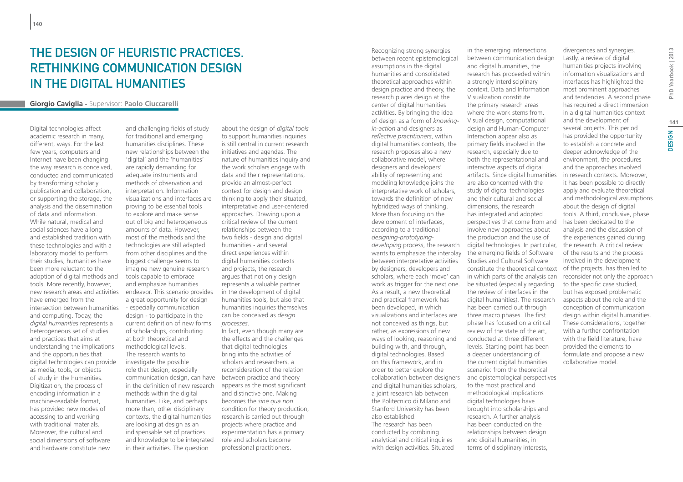## The Design of Heuristic Practices. Rethinking Communication Design in the Digital Humanities

### **Giorgio Caviglia -** Supervisor: **Paolo Ciuccarelli**

Digital technologies affect academic research in many, different, ways. For the last few years, computers and Internet have been changing the way research is conceived, conducted and communicated by transforming scholarly publication and collaboration, or supporting the storage, the analysis and the dissemination of data and information. While natural, medical and social sciences have a long and established tradition with these technologies and with a laboratory model to perform their studies, humanities have been more reluctant to the adoption of digital methods and tools. More recently, however, have emerged from the intersection between humanities and computing. Today, the *digital humanities* represents a heterogeneous set of studies and practices that aims at understanding the implications and the opportunities that digital technologies can provide as media, tools, or objects of study in the humanities. Digitization, the process of encoding information in a machine-readable format, has provided new modes of accessing to and working with traditional materials. Moreover, the cultural and social dimensions of software and hardware constitute new

new research areas and activities endeavor. This scenario provides and challenging fields of study for traditional and emerging humanities disciplines. These new relationships between the 'digital' and the 'humanities' are rapidly demanding for adequate instruments and methods of observation and interpretation. Information visualizations and interfaces are proving to be essential tools to explore and make sense out of big and heterogeneous amounts of data. However, most of the methods and the technologies are still adapted from other disciplines and the biggest challenge seems to imagine new genuine research tools capable to embrace and emphasize humanities a great opportunity for design - especially communication design - to participate in the current definition of new forms of scholarships, contributing at both theoretical and methodological levels. The research wants to investigate the possible role that design, especially communication design, can have between practice and theory in the definition of new research methods within the digital humanities. Like, and perhaps more than, other disciplinary contexts, the digital humanities are looking at design as an indispensable set of practices and knowledge to be integrated in their activities. The question

about the design of *digital tools* to support humanities inquiries is still central in current research initiatives and agendas. The nature of humanities inquiry and the work scholars engage with data and their representations, provide an almost-perfect context for design and design thinking to apply their situated, interpretative and user-centered approaches. Drawing upon a critical review of the current relationships between the two fields - design and digital humanities - and several direct experiences within digital humanities contexts and projects, the research argues that not only design represents a valuable partner in the development of digital humanities tools, but also that humanities inquiries themselves can be conceived as *design processes*.

In fact, even though many are the effects and the challenges that digital technologies bring into the activities of scholars and researchers, a reconsideration of the relation appears as the most significant and distinctive one. Making becomes the *sine qua non* condition for theory production, research is carried out through projects where practice and experimentation has a primary role and scholars become professional practitioners.

Recognizing strong synergies between recent epistemological assumptions in the digital humanities and consolidated theoretical approaches within design practice and theory, the research places design at the center of digital humanities activities. By bringing the idea of design as a form of *knowingin-action* and designers as *reflective practitioners*, within digital humanities contexts, the research proposes also a new collaborative model, where designers and developers' ability of representing and modeling knowledge joins the interpretative work of scholars, towards the definition of new hybridized ways of thinking. More than focusing on the development of interfaces, according to a traditional *designing-prototypingdeveloping* process, the research wants to emphasize the interplay the emerging fields of Software between interpretative activities by designers, developers and scholars, where each 'move' can work as trigger for the next one. As a result, a new theoretical and practical framework has been developed, in which visualizations and interfaces are not conceived as things, but rather, as expressions of new ways of looking, reasoning and building with, and through, digital technologies. Based on this framework, and in order to better explore the and digital humanities scholars, a joint research lab between the Politecnico di Milano and Stanford University has been also established. The research has been conducted by combining analytical and critical inquiries with design activities. Situated

collaboration between designers and epistemological perspectives in the emerging intersections between communication design and digital humanities, the research has proceeded within a strongly interdisciplinary context. Data and Information Visualization constitute the primary research areas where the work stems from. Visual design, computational design and Human-Computer Interaction appear also as primary fields involved in the research, especially due to both the representational and interactive aspects of digital artifacts. Since digital humanities are also concerned with the study of digital technologies and their cultural and social dimensions, the research has integrated and adopted perspectives that come from and involve new approaches about the production and the use of digital technologies. In particular, Studies and Cultural Software constitute the theoretical context in which parts of the analysis can be situated (especially regarding the review of interfaces in the digital humanities). The research has been carried out through three macro phases. The first phase has focused on a critical review of the state of the art, conducted at three different levels. Starting point has been a deeper understanding of the current digital humanities scenario: from the theoretical to the most practical and methodological implications digital technologies have brought into scholarships and research. A further analysis has been conducted on the relationships between design and digital humanities, in terms of disciplinary interests,

divergences and synergies. Lastly, a review of digital humanities projects involving information visualizations and interfaces has highlighted the most prominent approaches and tendencies. A second phase has required a direct immersion in a digital humanities context and the development of several projects. This period has provided the opportunity to establish a concrete and deeper acknowledge of the environment, the procedures and the approaches involved in research contexts. Moreover, it has been possible to directly apply and evaluate theoretical and methodological assumptions about the design of digital tools. A third, conclusive, phase has been dedicated to the analysis and the discussion of the experiences gained during the research. A critical review of the results and the process involved in the development of the projects, has then led to reconsider not only the approach to the specific case studied, but has exposed problematic aspects about the role and the conception of communication design within digital humanities. These considerations, together with a further confrontation with the field literature, have provided the elements to formulate and propose a new collaborative model.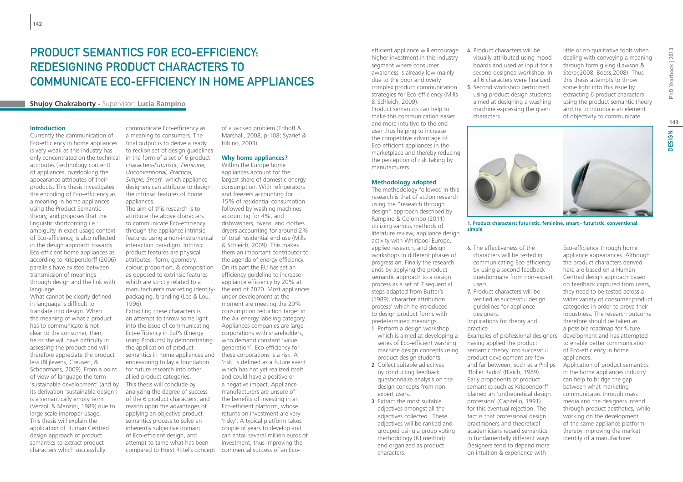### PRODUCT SEMANTICS FOR FCO-FFFICIENCY. Redesigning product characters to communicate Eco-efficiency in home appliances

### **Shujoy Chakraborty -** Supervisor: **Lucia Rampino**

#### **Introduction**

Currently the communication of Eco-efficiency in home appliances is very weak as this industry has only concentrated on the technical attributes (technology content) of appliances, overlooking the appearance attributes of their products. This thesis investigates the encoding of Eco-efficiency as a meaning in home appliances using the Product Semantic theory, and proposes that the linguistic shortcoming i.e.: ambiguity in exact usage context of Eco-efficiency, is also reflected in the design approach towards Eco-efficient home appliances as according to Krippendorff (2006) parallels have existed between transmission of meanings through design and the link with language.

What cannot be clearly defined in language is difficult to translate into design. When the meaning of what a product has to communicate is not clear to the consumer, then, he or she will have difficulty in assessing the product and will therefore appreciate the product less (Blijlevens, Creusen, & Schoormans, 2009). From a point of view of language the term 'sustainable development' (and by its derivation 'sustainable design') is a semantically empty term (Vezzoli & Manzini, 1989) due to large scale improper usage. This thesis will explain the application of Human Centred design approach of product semantics to extract product characters which successfully

communicate Eco-efficiency as a meaning to consumers. The final output is to derive a ready to reckon set of design guidelines in the form of a set of 6 product characters-*Futuristic, Feminine, Unconventional, Practical, Simple, Smart* -which appliance designers can attribute to design the intrinsic features of home appliances.

The aim of this research is to attribute the above characters to communicate Eco-efficiency through the appliance intrinsic features using a non-instrumental interaction paradigm. Intrinsic product features are physical attributes– form, geometry, colour, proportion, & composition as opposed to extrinsic features which are strictly related to a manufacturer's marketing identitypackaging, branding (Lee & Lou, 1996).

Extracting these characters is an attempt to throw some light into the issue of communicating Eco-efficiency in EuP's (Energy using Products) by demonstrating the application of product semantics in home appliances and endeavoring to lay a foundation for future research into other allied product categories. This thesis will conclude by analyzing the degree of success of the 6 product characters, and reason upon the advantages of applying an objective product semantics process to solve an inherently subjective domain of Eco-efficient design, and attempt to tame what has been compared to Horst Rittel's concept commercial success of an Eco-

of a wicked problem (Erlhoff & Marshall, 2008, p-108; Syarief & Hibino, 2003).

#### **Why home appliances?**

Within the Europe home appliances account for the largest share of domestic energy consumption. With refrigerators and freezers accounting for 15% of residential consumption followed by washing machines accounting for 4%, and dishwashers, ovens, and clothes dryers accounting for around 2% of total residential end use (Mills & Schleich, 2009). This makes them an important contributor to the agenda of energy efficiency. On its part the EU has set an efficiency guideline to increase appliance efficiency by 20% at the end of 2020. Most appliances under development at the moment are meeting the 20% consumption reduction target in the A+ energy labeling category. Appliances companies are large corporations with shareholders, who demand constant 'value generation'. Eco-efficiency for these corporations is a risk. A 'risk' is defined as a future event which has not yet realized itself and could have a positive or a negative impact. Appliance manufacturers are unsure of the benefits of investing in an Eco-efficient platform, whose returns on investment are very 'risky'. A typical platform takes couple of years to develop and can entail several million euros of investment, thus improving the

efficient appliance will encourage higher investment in this industry segment where consumer awareness is already low mainly due to the poor and overly complex product communication strategies for Eco-efficiency (Mills & Schleich, 2009). Product semantics can help to make this communication easier and more intuitive to the end user thus helping to increase the competitive advantage of Eco-efficient appliances in the marketplace and thereby reducing the perception of risk taking by manufacturers.

#### **Methodology adopted**

The methodology followed in this research is that of action research using the "research through design" approach described by Rampino & Colombo (2011) utilizing various methods of literature review, appliance design activity with Whirlpool Europe, applied research, and design workshops in different phases of progression. Finally the research ends by applying the product semantic approach to a design process as a set of 7 sequential steps adapted from Butter's (1989) 'character attribution process' which he introduced to design product forms with predetermined meanings. 1. Perform a design workshop which is aimed at developing a

- series of Eco-efficient washing machine design concepts using product design students.
- 2. Collect suitable adjectives by conducting feedback questionnaire analysis on the design concepts from nonexpert users.
- 3. Extract the most suitable adjectives amongst all the adjectives collected. These adjectives will be ranked and grouped using a group voting methodology (KJ method) and organized as product characters.

4. Product characters will be visually attributed using mood boards and used as input for a second designed workshop. In all 6 characters were finalized. 5. Second workshop performed using product design students aimed at designing a washing machine expressing the given characters.

little or no qualitative tools when dealing with conveying a meaning through form giving (Lawson & Storer,2008; Boess,2008). Thus this thesis attempts to throw some light into this issue by extracting 6 product characters using the product semantic theory and try to introduce an element of objectivity to communicate



**1. Product characters: futuristic, feminine, smart - futuristic, conventional, simple**

- 6. The effectiveness of the characters will be tested in communicating Eco-efficiency by using a second feedback questionnaire from non-expert users.
- 7. Product characters will be verified as successful design guidelines for appliance designers.

Implications for theory and practice

Examples of professional designers having applied the product semantic theory into successful product development are few and far between, such as a Philips 'Roller Radio' (Blaich, 1989). Early proponents of product semantics such as Krippendorff blamed an 'untheoretical design profession' (Capitello, 1991) for this eventual rejection. The fact is that professional design practitioners and theoretical academicians regard semantics in fundamentally different ways. Designers tend to depend more on intuition & experience with

Eco-efficiency through home appliance appearances. Although the product characters derived here are based on a Human Centred design approach based on feedback captured from users, they need to be tested across a wider variety of consumer product categories in order to prove their robustness. The research outcome therefore should be taken as a possible roadmap for future development and has attempted to enable better communication of Eco-efficiency in home appliances.

Application of product semantics in the home appliances industry can help to bridge the gap between what marketing communicates through mass media and the designers intend through product aesthetics, while working on the development of the same appliance platform thereby improving the market identity of a manufacturer.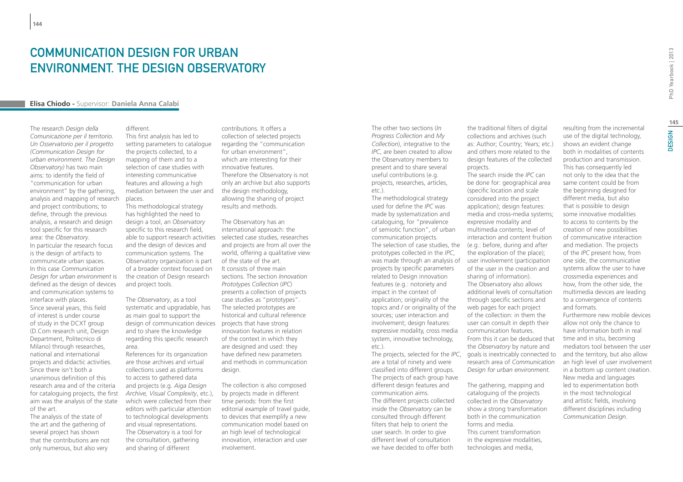### COMMUNICATION DESIGN FOR URBAN environment. The Design Observatory

### **Elisa Chiodo -** Supervisor: **Daniela Anna Calabi**

The research *Design della Comunicazione per il territorio. Un Osservatorio per il progetto (Communication Design for urban environment. The Design Observatory)* has two main aims: to identify the field of "communication for urban environment" by the gathering, analysis and mapping of research and project contributions; to define, through the previous analysis, a research and design tool specific for this research area: the *Observatory*. In particular the research focus is the design of artifacts to communicate urban spaces. In this case *Communication Design for urban environment* is defined as the design of devices and communication systems to interface with places. Since several years, this field of interest is under course of study in the DCXT group (D.Com research unit, Design Department, Politecnico di Milano) through researches, national and international projects and didactic activities. Since there isn't both a unanimous definition of this research area and of the criteria for cataloguing projects, the first aim was the analysis of the state of the art.

The analysis of the state of the art and the gathering of several project has shown that the contributions are not only numerous, but also very

different.

This first analysis has led to setting parameters to catalogue the projects collected, to a mapping of them and to a selection of case studies with interesting communicative features and allowing a high mediation between the user and places.

This methodological strategy has highlighted the need to design a tool, an *Observatory* specific to this research field, and the design of devices and communication systems. The Observatory organization is part of a broader context focused on the creation of Design research and project tools.

The *Observatory*, as a tool systematic and upgradable, has as main goal to support the design of communication devices projects that have strong and to share the knowledge regarding this specific research area.

References for its organization are those archives and virtual collections used as platforms to access to gathered data and projects (e.g. *Aiga Design Archive, Visual Complexity*, etc.), which were collected from their editors with particular attention to technological developments and visual representations. The Observatory is a tool for the consultation, gathering and sharing of different

contributions. It offers a collection of selected projects regarding the "communication for urban environment", which are interesting for their innovative features. Therefore the Observatory is not only an archive but also supports the design methodology, allowing the sharing of project results and methods.

able to support research activities selected case studies, researches The Observatory has an international approach: the and projects are from all over the world, offering a qualitative view of the state of the art. It consists of three main sections. The section *Innovation Prototypes Collection* (*IPC*) presents a collection of projects case studies as "prototypes". The selected prototypes are historical and cultural reference innovation features in relation of the context in which they are designed and used: they have defined new parameters and methods in communication design.

> The collection is also composed by projects made in different time periods: from the first editorial example of travel guide, to devices that exemplify a new communication model based on an high level of technological innovation, interaction and user involvement.

The other two sections (*In Progress Collection* and *My Collection*), integrative to the *IPC*, are been created to allow the Observatory members to present and to share several useful contributions (e.g. projects, researches, articles, etc.).

The methodological strategy used for define the *IPC* was made by systematization and cataloguing, for "prevalence of semiotic function", of urban communication projects. The selection of case studies, the prototypes collected in the *IPC*, projects by specific parameters related to Design innovation features (e.g.: notoriety and impact in the context of application; originality of the topics and / or originality of the sources; user interaction and involvement; design features: expressive modality, cross media system, innovative technology, etc.).

The projects, selected for the *IPC*, are a total of ninety and were classified into different groups. The projects of each group have different design features and communication aims. The different projects collected inside the *Observatory* can be consulted through different filters that help to orient the user search. In order to give different level of consultation we have decided to offer both

the traditional filters of digital collections and archives (such as: Author; Country; Years; etc.) and others more related to the design features of the collected projects.

was made through an analysis of user involvement (participation The search inside the *IPC* can be done for: geographical area (specific location and scale considered into the project application); design features: media and cross-media systems; expressive modality and multimedia contents; level of interaction and content fruition (e.g.: before, during and after the exploration of the place); of the user in the creation and sharing of information). The Observatory also allows additional levels of consultation through specific sections and web pages for each project of the collection: in them the user can consult in depth their communication features. From this it can be deduced that the *Observatory* by nature and goals is inextricably connected to research area of *Communication Design for urban environment*.

> The gathering, mapping and cataloguing of the projects collected in the *Observatory* show a strong transformation both in the communication forms and media. This current transformation in the expressive modalities,

technologies and media,

resulting from the incremental use of the digital technology, shows an evident change both in modalities of contents production and transmission. This has consequently led not only to the idea that the same content could be from the beginning designed for different media, but also that is possible to design some innovative modalities to access to contents by the creation of new possibilities of communicative interaction and mediation. The projects of the *IPC* present how, from one side, the communicative systems allow the user to have crossmedia experiences and how, from the other side, the multimedia devices are leading to a convergence of contents and formats. Furthermore new mobile devices allow not only the chance to have information both in real time and in situ, becoming mediators tool between the user and the territory, but also allow

an high level of user involvement in a bottom up content creation. New media and languages led to experimentation both in the most technological and artistic fields, involving different disciplines including *Communication Design*.

PhD Yearbook | 2013 DESIGN 2013 **145DESIGN**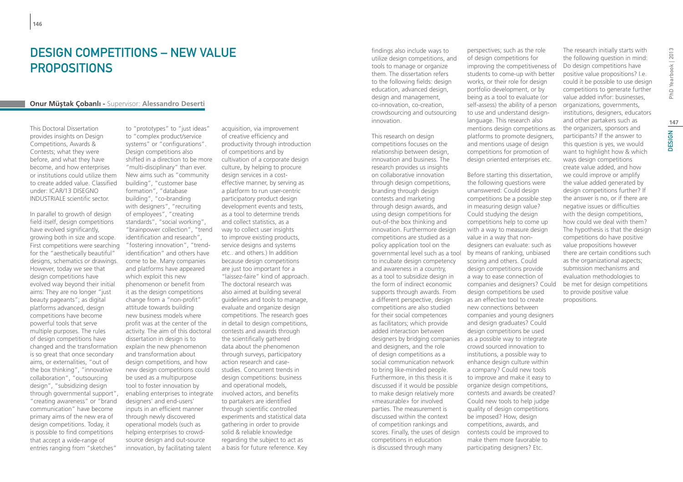### DESIGN COMPETITIONS – NEW VALUE **PROPOSITIONS**

### **Onur Müştak Çobanlı - Supervisor: Alessandro Deserti**

This Doctoral Dissertation provides insights on Design Competitions, Awards & Contests; what they were before, and what they have become, and how enterprises or institutions could utilize them to create added value. Classified under: ICAR/13 DISEGNO INDUSTRIALE scientific sector.

In parallel to growth of design field itself, design competitions have evolved significantly, growing both in size and scope. First competitions were searching for the "aesthetically beautiful" designs, schematics or drawings. However, today we see that design competitions have evolved way beyond their initial aims: They are no longer "just beauty pageants"; as digital platforms advanced, design competitions have become powerful tools that serve multiple purposes. The rules of design competitions have changed and the transformation is so great that once secondary aims, or externalities, "out of the box thinking", "innovative collaboration", "outsourcing design", "subsidizing design through governmental support", "creating awareness" or "brand communication" have become primary aims of the new era of design competitions. Today, it is possible to find competitions that accept a wide-range of entries ranging from "sketches"

to "prototypes" to "just ideas" to "complex product/service systems" or "configurations". Design competitions also shifted in a direction to be more "multi-disciplinary" than ever. New aims such as "community building", "customer base formation", "database building", "co-branding with designers", "recruiting of employees", "creating standards", "social working", "brainpower collection", "trend identification and research", "fostering innovation", "trendidentification" and others have come to be. Many companies and platforms have appeared which exploit this new phenomenon or benefit from it as the design competitions change from a "non-profit" attitude towards building new business models where profit was at the center of the activity. The aim of this doctoral dissertation in design is to explain the new phenomenon and transformation about design competitions, and how new design competitions could be used as a multipurpose tool to foster innovation by enabling enterprises to integrate designers' and end-users' inputs in an efficient manner through newly discovered operational models (such as helping enterprises to crowdsource design and out-source innovation, by facilitating talent

acquisition, via improvement of creative efficiency and productivity through introduction of competitions and by cultivation of a corporate design culture, by helping to procure design services in a costeffective manner, by serving as a platform to run user-centric participatory product design development events and tests, as a tool to determine trends and collect statistics, as a way to collect user insights to improve existing products, service designs and systems etc.. and others.) In addition because design competitions are just too important for a "laissez-faire" kind of approach. The doctoral research was also aimed at building several guidelines and tools to manage, evaluate and organize design competitions. The research goes in detail to design competitions, contests and awards through the scientifically gathered data about the phenomenon through surveys, participatory action research and casestudies. Concurrent trends in design competitions: business and operational models, involved actors, and benefits to partakers are identified through scientific controlled experiments and statistical data gathering in order to provide solid & reliable knowledge regarding the subject to act as a basis for future reference. Key

findings also include ways to utilize design competitions, and tools to manage or organize them. The dissertation refers to the following fields: design education, advanced design, design and management, co-innovation, co-creation, crowdsourcing and outsourcing innovation.

This research on design competitions focuses on the relationship between design, innovation and business. The research provides us insights on collaborative innovation through design competitions, branding through design contests and marketing through design awards, and using design competitions for out-of-the box thinking and innovation. Furthermore design competitions are studied as a policy application tool on the governmental level such as a tool by means of ranking, unbiased to incubate design competency and awareness in a country, as a tool to subsidize design in the form of indirect economic supports through awards. From a different perspective, design competitions are also studied for their social competences as facilitators; which provide added interaction between designers by bridging companies and designers, and the role of design competitions as a social communication network to bring like-minded people. Furthermore, in this thesis it is discussed if it would be possible to make design relatively more «measurable» for involved parties. The measurement is discussed within the context of competition rankings and scores. Finally, the uses of design competitions in education is discussed through many

perspectives; such as the role of design competitions for improving the competitiveness of students to come-up with better works, or their role for design portfolio development, or by being as a tool to evaluate (or self-assess) the ability of a person to use and understand designlanguage. This research also mentions design competitions as platforms to promote designers, and mentions usage of design competitions for promotion of design oriented enterprises etc.

Before starting this dissertation, the following questions were unanswered: Could design competitions be a possible step in measuring design value? Could studying the design competitions help to come up with a way to measure design value in a way that nondesigners can evaluate: such as scoring and others. Could design competitions provide a way to ease connection of companies and designers? Could design competitions be used as an effective tool to create new connections between companies and young designers and design graduates? Could design competitions be used as a possible way to integrate crowd sourced innovation to institutions, a possible way to enhance design culture within a company? Could new tools to improve and make it easy to organize design competitions, contests and awards be created? Could new tools to help judge quality of design competitions be imposed? How, design competitions, awards, and contests could be improved to make them more favorable to participating designers? Etc.

The research initially starts with the following question in mind: Do design competitions have positive value propositions? I.e. could it be possible to use design competitions to generate further value added in/for: businesses, organizations, governments, institutions, designers, educators and other partakers such as the organizers, sponsors and participants? If the answer to this question is yes, we would want to highlight how & which ways design competitions create value added, and how we could improve or amplify the value added generated by design competitions further? If the answer is no, or if there are negative issues or difficulties with the design competitions, how could we deal with them? The hypothesis is that the design competitions do have positive value propositions however there are certain conditions such as the organizational aspects; submission mechanisms and evaluation methodologies to be met for design competitions to provide positive value propositions.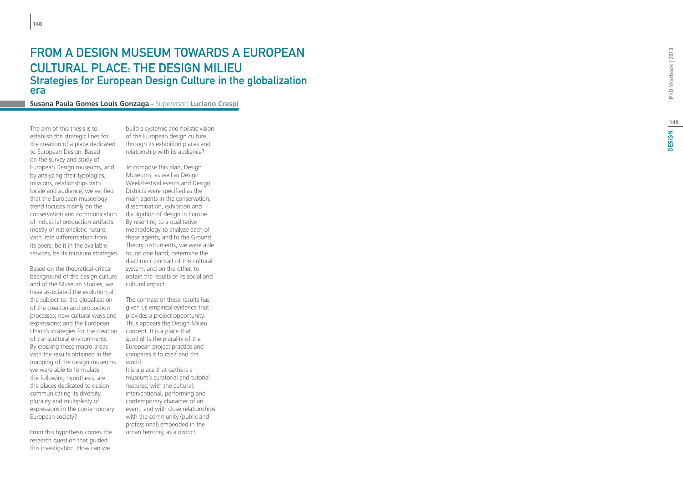### FROM A DESIGN MUSEUM TOWARDS A EUROPEAN CULTURAL PLACE: THE DESIGN MILIE Strategies for European Design Culture in the globalization era

**Susana Paula Gomes Louis Gonzaga -** Supervisor: **Luciano Crespi**

The aim of this thesis is to establish the strategic lines for the creation of a place dedicated to European Design. Based on the survey and study of European Design museums, and by analyzing their typologies, missions, relationships with locale and audience, we verified that the European museology trend focuses mainly on the conservation and communication of industrial production artifacts mostly of nationalistic nature, with little differentiation from its peers, be it in the available

Based on the theoretical-critical background of the design culture and of the Museum Studies, we have associated the evolution of the subject to: the globalization of the creation and production processes; new cultural ways and expressions; and the European Union's strategies for the creation of transcultural environments. By crossing these macro-areas with the results obtained in the mapping of the design museums we were able to formulate the following hypothesis: are the places dedicated to design communicating its diversity, plurality and multiplicity of expressions in the contemporary European society?

From this hypothesis comes the research question that guided this investigation. How can we

build a systemic and holistic vision of the European design culture, through its exhibition places and relationship with its audience?

services, be its museum strategies. to, on one hand; determine the To compose this plan, Design Museums, as well as Design Week/Festival events and Design Districts were specified as the main agents in the conservation, dissemination, exhibition and divulgation of design in Europe. By resorting to a qualitative methodology to analyze each of these agents, and to the Ground Theory instruments, we were able diachronic portrait of this cultural system, and on the other, to obtain the results of its social and cultural impact.

> The contrast of these results has given us empirical evidence that provides a project opportunity. Thus appears the Design Milieu concept. It is a place that spotlights the plurality of the European project practice and compares it to itself and the world.

It is a place that gathers a museum's curatorial and tutorial features; with the cultural, interventional, performing and contemporary character of an event; and with close relationships with the community (public and professional) embedded in the urban territory, as a district.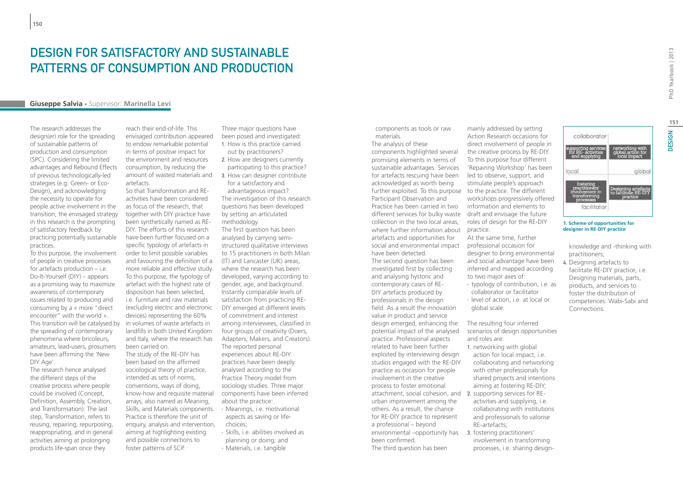# DESIGN FOR SATISFACTORY AND SUSTAINABLE patterns of consumption and production

### **Giuseppe Salvia -** Supervisor: **Marinella Levi**

The research addresses the design(er) role for the spreading of sustainable patterns of production and consumption (SPC). Considering the limited advantages and Rebound Effects of previous technologically-led strategies (e.g. Green- or Eco-Design), and acknowledging the necessity to operate for people active involvement in the transition, the envisaged strategy in this research is the prompting of satisfactory feedback by practicing potentially sustainable practices.

To this purpose, the involvement of people in creative processes for artefacts production – i.e. Do-It-Yourself (DIY) – appears as a promising way to maximize awareness of contemporary issues related to producing and consuming by a « more "direct encounter" with the world ». This transition will be catalysed by the spreading of contemporary phenomena where bricoleurs, amateurs, lead-users, prosumers have been affirming the 'New DIY Age'.

The research hence analysed the different steps of the creative process where people could be involved (Concept, Definition, Assembly, Creation, and Transformation). The last step, Transformation, refers to reusing, repairing, repurposing, reappropriating, and in general activities aiming at prolonging products life-span once they

reach their end-of-life. This envisaged contribution appeared to endow remarkable potential in terms of positive impact for the environment and resources consumption, by reducing the artefacts.

So that Transformation and REactivities have been considered as focus of the research, that together with DIY practice have been synthetically named as RE-DIY. The efforts of this research have been further focused on a specific typology of artefacts in order to limit possible variables and favouring the definition of a more reliable and effective study. To this purpose, the typology of artefact with the highest rate of disposition has been selected, i.e. furniture and raw materials (excluding electric and electronic devices) representing the 60% in volumes of waste artefacts in landfills in both United Kingdom and Italy, where the research has been carried on.

The study of the RE-DIY has been based on the affirmed sociological theory of practice, intended as sets of norms, conventions, ways of doing, know-how and requisite material arrays, also named as Meaning, Skills, and Materials components. Practice is therefore the unit of enquiry, analysis and intervention, aiming at highlighting existing and possible connections to foster patterns of SCP.

Three major questions have been posed and investigated: 1. How is this practice carried out by practitioners?

- 2. How are designers currently participating to this practice?
- amount of wasted materials and 3. How can designer contribute for a satisfactory and

advantageous impact? The investigation of this research questions has been developed by setting an articulated methodology.

The first question has been analysed by carrying semistructured qualitative interviews to 15 practitioners in both Milan (IT) and Lancaster (UK) areas, where the research has been developed, varying according to gender, age, and background. Instantly comparable levels of satisfaction from practicing RE-DIY emerged at different levels of commitment and interest among interviewees, classified in four groups of creativity (Doers, Adapters, Makers, and Creators). The reported personal experiences about RE-DIY practices have been deeply analysed according to the Practice Theory model from sociology studies. Three major components have been inferred about the practice:

- ∙ Meanings, i.e. motivational aspects as saving or lifechoices;
- ∙ Skills, i.e. abilities involved as
- planning or doing; and
- ∙ Materials, i.e. tangible

components as tools or raw materials. The analysis of these

components highlighted several promising elements in terms of sustainable advantages. Services for artefacts rescuing have been acknowledged as worth being further exploited. To this purpose to the practice. The different Participant Observation and Practice has been carried in two different services for bulky waste draft and envisage the future collection in the two local areas, where further information about artefacts and opportunities for social and environmental impact have been detected. The second question has been investigated first by collecting and analysing hystoric and contemporary cases of RE-DIY artefacts produced by professionals in the design field. As a result the innovation value in product and service design emerged, enhancing the potential impact of the analysed practice. Professional aspects related to have been further exploited by interviewing design studios engaged with the RE-DIY practice as occasion for people involvement in the creative process to foster emotional attachment, social cohesion, and 2. supporting services for REurban improvement among the others. As a result, the chance for RE-DIY practice to represent a professional – beyond environmental –opportunity has been confirmed. The third question has been

mainly addressed by setting Action Research occasions for direct involvement of people in the creative process by RE-DIY. To this purpose four different 'Repairing Workshop' has been led to observe, support, and stimulate people's approach workshops progressively offered information and elements to roles of design for the RE-DIY practice. At the same time, further professional occasion for designer to bring environmental and social advantage have been inferred and mapped according

- to two major axes of: ∙ typology of contribution, i.e. as collaborator or facilitator
- ∙ level of action, i.e. at local or global scale.

The resulting four inferred scenarios of design opportunities and roles are:

- 1. networking with global action for local impact, i.e. collaborating and networking with other professionals for shared projects and intentions aiming at fostering RE-DIY;
- activities and supplying, i.e. collaborating with institutions and professionals to valorise RE-artefacts;
- 3. fostering practitioners' involvement in transforming processes, i.e. sharing design-

collaborator local global Designing artefacult facilitator

#### **1. Scheme of opportunities for designer in RE-DIY practice**

knowledge and -thinking with practitioners;

4. Designing artefacts to facilitate RE-DIY practice, i.e. Designing materials, parts, products, and services to foster the distribution of competences: Wabi-Sabi and Connections.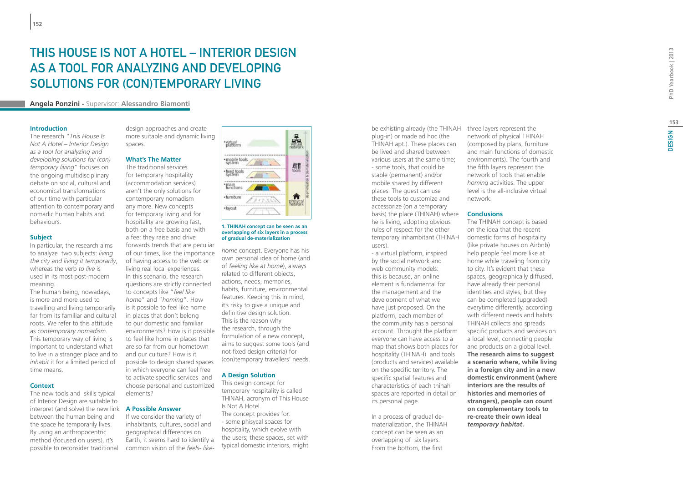# **153DESIGN**

# THIS HOUSE IS NOT A HOTEL – INTERIOR DESIGN AS A TOOL FOR ANALYZING AND DEVELOPING SOLUTIONS FOR (CON)TEMPORARY LIVING

**Angela Ponzini -** Supervisor: **Alessandro Biamonti**

#### **Introduction**

**152**

The research "*This House Is Not A Hotel – Interior Design as a tool for analyzing and developing solutions for (con) temporary living*" focuses on the ongoing multidisciplinary debate on social, cultural and economical transformations of our time with particular attention to contemporary and nomadic human habits and behaviours.

#### **Subject**

In particular, the research aims to analyze two subjects: *living the city and living it temporarily*, whereas the verb *to live* is used in its most post-modern meaning.

The human being, nowadays, is more and more used to travelling and living temporarily far from its familiar and cultural roots. We refer to this attitude as *contemporary nomadism* . This temporary way of living is important to understand what to live in a stranger place and to *inhabit* it for a limited period of time means.

#### **Context**

The new tools and skills typical of Interior Design are suitable to interpret (and solve) the new link **A Possible Answer** between the human being and the space he temporarily lives. By using an anthropocentric method (focused on users), it's possible to reconsider traditional

design approaches and create more suitable and dynamic living spaces.

### **What's The Matter**

The traditional services for temporary hospitality (accommodation services) aren't the only solutions for contemporary nomadism any more. New concepts for temporary living and for hospitality are growing fast. both on a free basis and with a fee: they raise and drive forwards trends that are peculiar of our times, like the importance of having access to the web or living real local experiences. In this scenario, the research questions are strictly connected to concepts like "*feel like home*" and "*homing*". How is it possible to feel like home in places that don't belong to our domestic and familiar environments? How is it possible to feel like home in places that are so far from our hometown and our culture? How is it possible to design shared spaces in which everyone can feel free to activate specific services and choose personal and customized elements?

If we consider the variety of inhabitants, cultures, social and geographical differences on Earth, it seems hard to identify a common vision of the *feels- like-*



#### **1. THINAH concept can be seen as an overlapping of six layers in a process of gradual de-materialization**

*home* concept. Everyone has his own personal idea of home (and of *feeling like at home*), always related to different objects, actions, needs, memories, habits, furniture, environmental features. Keeping this in mind, it's risky to give a unique and definitive design solution. This is the reason why the research, through the formulation of a new concept, aims to suggest some tools (and not fixed design criteria) for (con)temporary travellers' needs.

### **A Design Solution**

This design concept for temporary hospitality is called THINAH, acronym of This House Is Not A Hotel. The concept provides for: - some phisycal spaces for hospitality, which evolve with the users; these spaces, set with typical domestic interiors, might be exhisting already (the THINAH plug-in) or made ad hoc (the THINAH apt.). These places can be lived and shared between various users at the same time; - some tools, that could be stable (permanent) and/or mobile shared by different places. The guest can use these tools to customize and accessorize (on a temporary basis) the place (THINAH) where **Conclusions** he is living, adopting obvious rules of respect for the other temporary inhambitant (THINAH users).

- a virtual platform, inspired by the social network and web community models: this is because, an online element is fundamental for the management and the development of what we have just proposed. On the platform, each member of the community has a personal account. Throught the platform everyone can have access to a map that shows both places for hospitality (THINAH) and tools (products and services) available on the specific territory. The specific spatial features and characteristics of each thinah spaces are reported in detail on its personal page.

In a process of gradual dematerialization, the THINAH concept can be seen as an overlapping of six layers. From the bottom, the first

three layers represent the network of physical THINAH (composed by plans, furniture and main functions of domestic environments). The fourth and the fifth layers represent the network of tools that enable *homing* activities. The upper level is the all-inclusive virtual network.

The THINAH concept is based on the idea that the recent domestic forms of hospitality (like private houses on Airbnb) help people feel more like at home while traveling from city to city. It's evident that these spaces, geographically diffused, have already their personal identities and styles; but they can be completed (upgraded) everytime differently, according with different needs and habits: THINAH collects and spreads specific products and services on a local level, connecting people and products on a global level. **The research aims to suggest a scenario where, while living in a foreign city and in a new domestic environment (where interiors are the results of histories and memories of strangers), people can count on complementary tools to re-create their own ideal**  *temporary habitat* **.**